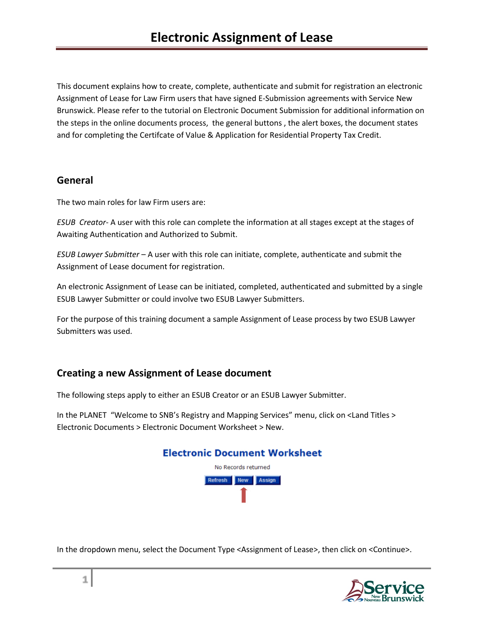This document explains how to create, complete, authenticate and submit for registration an electronic Assignment of Lease for Law Firm users that have signed E-Submission agreements with Service New Brunswick. Please refer to the tutorial on Electronic Document Submission for additional information on the steps in the online documents process, the general buttons , the alert boxes, the document states and for completing the Certifcate of Value & Application for Residential Property Tax Credit.

### **General**

The two main roles for law Firm users are:

*ESUB Creator*- A user with this role can complete the information at all stages except at the stages of Awaiting Authentication and Authorized to Submit.

*ESUB Lawyer Submitter* – A user with this role can initiate, complete, authenticate and submit the Assignment of Lease document for registration.

An electronic Assignment of Lease can be initiated, completed, authenticated and submitted by a single ESUB Lawyer Submitter or could involve two ESUB Lawyer Submitters.

For the purpose of this training document a sample Assignment of Lease process by two ESUB Lawyer Submitters was used.

### **Creating a new Assignment of Lease document**

The following steps apply to either an ESUB Creator or an ESUB Lawyer Submitter.

In the PLANET "Welcome to SNB's Registry and Mapping Services" menu, click on <Land Titles > Electronic Documents > Electronic Document Worksheet > New.



In the dropdown menu, select the Document Type <Assignment of Lease>, then click on <Continue>.

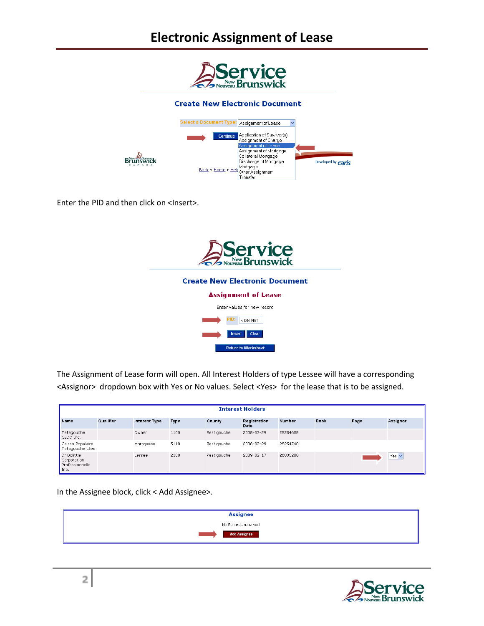## **Electronic Assignment of Lease**



Enter the PID and then click on <Insert>.



The Assignment of Lease form will open. All Interest Holders of type Lessee will have a corresponding <Assignor> dropdown box with Yes or No values. Select <Yes> for the lease that is to be assigned.

|                                                       |           |                      |             |             | <b>Interest Holders</b> |               |             |      |          |
|-------------------------------------------------------|-----------|----------------------|-------------|-------------|-------------------------|---------------|-------------|------|----------|
| Name                                                  | Qualifier | <b>Interest Type</b> | <b>Type</b> | County      | Registration<br>Date    | <b>Number</b> | <b>Book</b> | Page | Assignor |
| Tetagouche<br>CBDC Inc.                               |           | Owner                | 1100        | Restigouche | 2008-02-29              | 25254658      |             |      |          |
| Caisse Populaire<br>Tetagouche Ltee                   |           | Mortgagee            | 5110        | Restigouche | 2008-02-29              | 25254740      |             |      |          |
| Dr Dolittle<br>Corporation<br>Professionnelle<br>Inc. |           | Lessee               | 2100        | Restigouche | 2009-02-17              | 26835208      |             |      | Yes v    |

In the Assignee block, click < Add Assignee>.



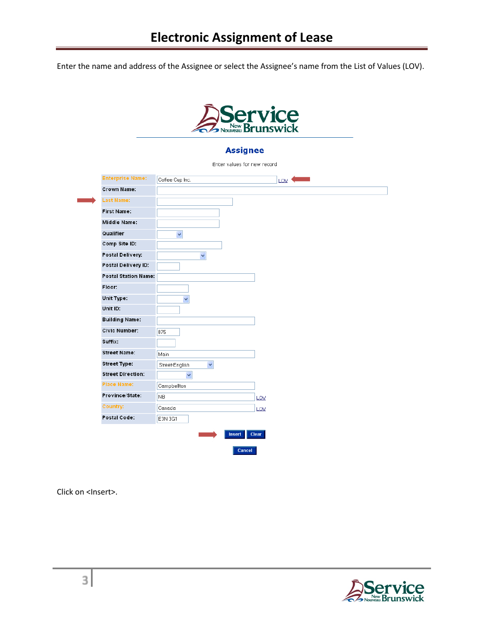Enter the name and address of the Assignee or select the Assignee's name from the List of Values (LOV).



### **Assignee**

| $\ddotmark$<br>$\checkmark$<br>$\ddot{\phantom{1}}$<br>875<br>Main<br>$\checkmark$<br>Street-English<br>$\checkmark$<br>Campbellton<br>N <sub>B</sub><br>LOV<br>Canada<br>LOV<br>E3N 3G1                                                                                                                                                                      | <b>Enterprise Name:</b> | Coffee Cup Inc. | LOV |
|---------------------------------------------------------------------------------------------------------------------------------------------------------------------------------------------------------------------------------------------------------------------------------------------------------------------------------------------------------------|-------------------------|-----------------|-----|
|                                                                                                                                                                                                                                                                                                                                                               | <b>Crown Name:</b>      |                 |     |
| <b>First Name:</b><br><b>Middle Name:</b><br>Qualifier<br>Comp Site ID:<br>Postal Delivery:<br>Postal Delivery ID:<br><b>Postal Station Name:</b><br>Floor:<br>Unit Type:<br>Unit ID:<br><b>Building Name:</b><br><b>Civic Number:</b><br>Suffix:<br><b>Street Name:</b><br><b>Street Type:</b><br><b>Street Direction:</b><br><b>Place Name:</b><br>Country: | <b>Last Name:</b>       |                 |     |
|                                                                                                                                                                                                                                                                                                                                                               |                         |                 |     |
|                                                                                                                                                                                                                                                                                                                                                               |                         |                 |     |
|                                                                                                                                                                                                                                                                                                                                                               |                         |                 |     |
|                                                                                                                                                                                                                                                                                                                                                               |                         |                 |     |
|                                                                                                                                                                                                                                                                                                                                                               |                         |                 |     |
|                                                                                                                                                                                                                                                                                                                                                               |                         |                 |     |
|                                                                                                                                                                                                                                                                                                                                                               |                         |                 |     |
|                                                                                                                                                                                                                                                                                                                                                               |                         |                 |     |
|                                                                                                                                                                                                                                                                                                                                                               |                         |                 |     |
|                                                                                                                                                                                                                                                                                                                                                               |                         |                 |     |
|                                                                                                                                                                                                                                                                                                                                                               |                         |                 |     |
|                                                                                                                                                                                                                                                                                                                                                               |                         |                 |     |
|                                                                                                                                                                                                                                                                                                                                                               |                         |                 |     |
| Province/State:<br>Postal Code:                                                                                                                                                                                                                                                                                                                               |                         |                 |     |
|                                                                                                                                                                                                                                                                                                                                                               |                         |                 |     |
|                                                                                                                                                                                                                                                                                                                                                               |                         |                 |     |
|                                                                                                                                                                                                                                                                                                                                                               |                         |                 |     |
|                                                                                                                                                                                                                                                                                                                                                               |                         |                 |     |
|                                                                                                                                                                                                                                                                                                                                                               |                         |                 |     |
|                                                                                                                                                                                                                                                                                                                                                               |                         |                 |     |

Click on <Insert>.

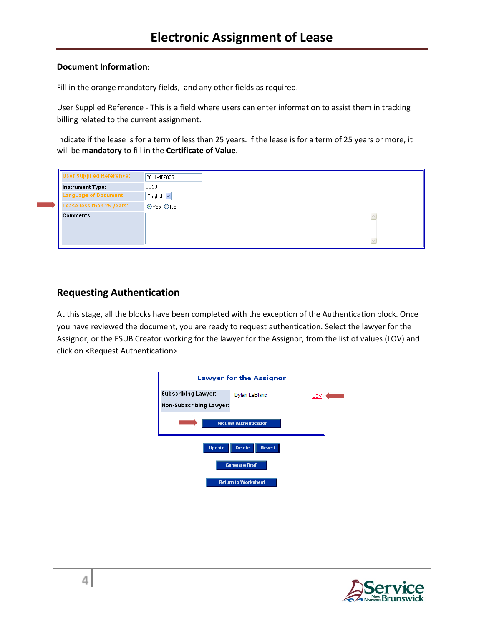#### **Document Information**:

Fill in the orange mandatory fields, and any other fields as required.

User Supplied Reference - This is a field where users can enter information to assist them in tracking billing related to the current assignment.

Indicate if the lease is for a term of less than 25 years. If the lease is for a term of 25 years or more, it will be **mandatory** to fill in the **Certificate of Value**.

| <b>User Supplied Reference:</b> | 2011-459875 |
|---------------------------------|-------------|
| <b>Instrument Type:</b>         | 2810        |
| Language of Document:           | English v   |
| Lease less than 25 years:       | ⊙Yes ONo    |
| <b>Comments:</b>                |             |
|                                 |             |

### **Requesting Authentication**

At this stage, all the blocks have been completed with the exception of the Authentication block. Once you have reviewed the document, you are ready to request authentication. Select the lawyer for the Assignor, or the ESUB Creator working for the lawyer for the Assignor, from the list of values (LOV) and click on <Request Authentication>



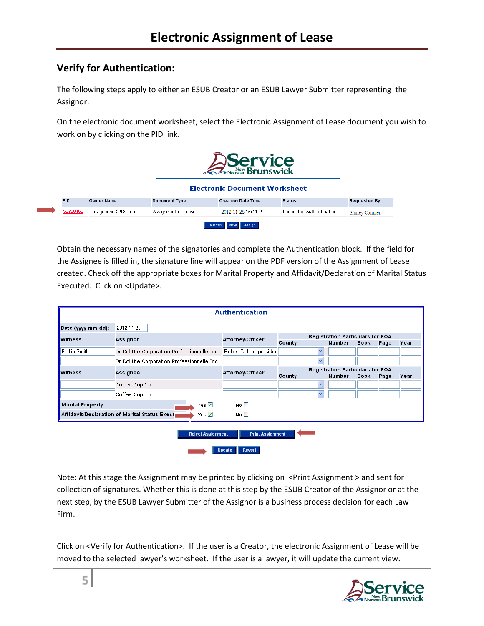### **Verify for Authentication:**

The following steps apply to either an ESUB Creator or an ESUB Lawyer Submitter representing the Assignor.

On the electronic document worksheet, select the Electronic Assignment of Lease document you wish to work on by clicking on the PID link.

|            |                      |                      | Service<br>S <sub>Nouveau</sub> Brunswick<br><b>Electronic Document Worksheet</b> |                          |                        |
|------------|----------------------|----------------------|-----------------------------------------------------------------------------------|--------------------------|------------------------|
| <b>PID</b> | <b>Owner Name</b>    | <b>Document Type</b> | <b>Creation Date/Time</b>                                                         | <b>Status</b>            | <b>Requested By</b>    |
| 50350461   | Tetagouche CBDC Inc. | Assignment of Lease  | 2012-11-28 16:11:28                                                               | Requested Authentication | <b>Shirley Cormier</b> |
|            |                      |                      | Assign<br>Refresh<br><b>New</b>                                                   |                          |                        |

Obtain the necessary names of the signatories and complete the Authentication block. If the field for the Assignee is filled in, the signature line will appear on the PDF version of the Assignment of Lease created. Check off the appropriate boxes for Marital Property and Affidavit/Declaration of Marital Status Executed. Click on <Update>.

|                         |                                                               | <b>Authentication</b>                              |                                                  |                                                   |             |      |      |
|-------------------------|---------------------------------------------------------------|----------------------------------------------------|--------------------------------------------------|---------------------------------------------------|-------------|------|------|
| Date (yyyy-mm-dd):      | 2012-11-28                                                    |                                                    |                                                  |                                                   |             |      |      |
| Witness                 | Assignor                                                      | Attorney/Officer                                   | County                                           | <b>Registration Particulars for POA</b><br>Number | <b>Book</b> | Page | Year |
| Phillip Smith           | Dr Dolittle Corporation Professionnelle Inc.                  | Robert Dolittle, presider                          | $\overline{\mathbf{v}}$                          |                                                   |             |      |      |
|                         | Dr Dolittle Corporation Professionnelle Inc.                  |                                                    | $\ddotmark$                                      |                                                   |             |      |      |
| Witness                 | Assignee                                                      | Attorney/Officer                                   | Registration Particulars for POA                 |                                                   |             |      |      |
|                         | Coffee Cup Inc.<br>Coffee Cup Inc.                            |                                                    | County<br>$\overline{\mathbf{v}}$<br>$\ddotmark$ | Number                                            | <b>Book</b> | Page | Year |
| <b>Marital Property</b> | Yes $\nabla$                                                  | No <sub>1</sub>                                    |                                                  |                                                   |             |      |      |
|                         | Affidavit/Declaration of Marital Status Execu<br>Yes $\nabla$ | No $\square$                                       |                                                  |                                                   |             |      |      |
|                         | <b>Reject Assignment</b>                                      | <b>Print Assignment</b><br><b>Update</b><br>Revert |                                                  |                                                   |             |      |      |

Note: At this stage the Assignment may be printed by clicking on <Print Assignment > and sent for collection of signatures. Whether this is done at this step by the ESUB Creator of the Assignor or at the next step, by the ESUB Lawyer Submitter of the Assignor is a business process decision for each Law Firm.

Click on <Verify for Authentication>. If the user is a Creator, the electronic Assignment of Lease will be moved to the selected lawyer's worksheet. If the user is a lawyer, it will update the current view.

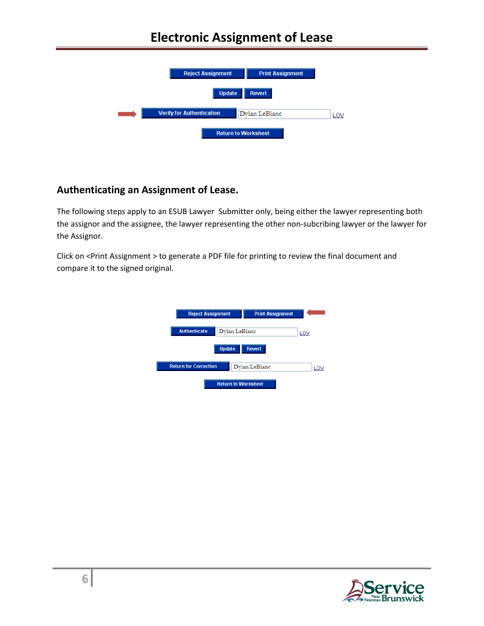## **Electronic Assignment of Lease**



### **Authenticating an Assignment of Lease.**

The following steps apply to an ESUB Lawyer Submitter only, being either the lawyer representing both the assignor and the assignee, the lawyer representing the other non-subcribing lawyer or the lawyer for the Assignor.

Click on <Print Assignment > to generate a PDF file for printing to review the final document and compare it to the signed original.

| <b>Reject Assignment</b>     |                            | <b>Print Assignment</b> |     |
|------------------------------|----------------------------|-------------------------|-----|
| <b>Authenticate</b>          | Dylan LeBlanc              |                         | LOV |
|                              | <b>Update</b>              | <b>Revert</b>           |     |
| <b>Return for Correction</b> |                            | Dylan LeBlanc           | LOV |
|                              | <b>Return to Worksheet</b> |                         |     |

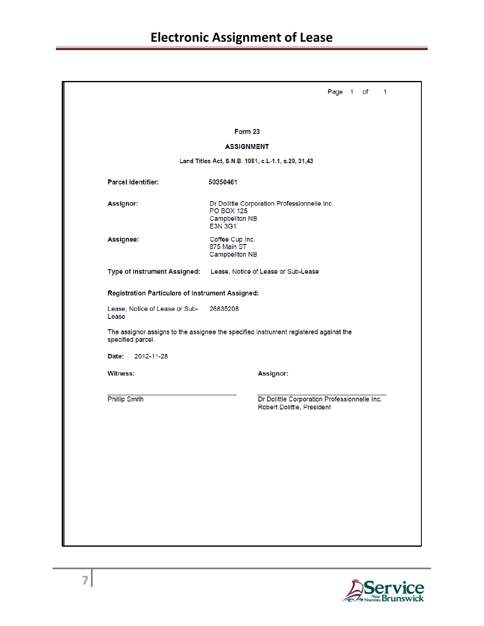| Form 23<br><b>ASSIGNMENT</b><br>Land Titles Act, S.N.B. 1981, c.L-1.1, s.29, 31,43<br><b>Parcel Identifier:</b><br>50350461<br>Assignor:<br>Dr Dolittle Corporation Professionnelle Inc.<br><b>PO BOX 125</b><br>Campbellton NB<br><b>E3N 3G1</b><br>Assignee:<br>Coffee Cup Inc.<br>875 Main ST<br>Campbellton NB<br>Type of Instrument Assigned: Lease, Notice of Lease or Sub-Lease<br>Registration Particulars of Instrument Assigned:<br>Lease, Notice of Lease or Sub-<br>26835208<br>Lease<br>The assignor assigns to the assignee the specified instrument registered against the<br>specified parcel.<br>Date: 2012-11-28<br><b>Witness:</b><br>Assignor:<br><b>Phillip Smith</b><br>Dr Dolittle Corporation Professionnelle Inc.<br>Robert Dolittle, President |  | Page 1 of |
|--------------------------------------------------------------------------------------------------------------------------------------------------------------------------------------------------------------------------------------------------------------------------------------------------------------------------------------------------------------------------------------------------------------------------------------------------------------------------------------------------------------------------------------------------------------------------------------------------------------------------------------------------------------------------------------------------------------------------------------------------------------------------|--|-----------|
|                                                                                                                                                                                                                                                                                                                                                                                                                                                                                                                                                                                                                                                                                                                                                                          |  |           |
|                                                                                                                                                                                                                                                                                                                                                                                                                                                                                                                                                                                                                                                                                                                                                                          |  |           |
|                                                                                                                                                                                                                                                                                                                                                                                                                                                                                                                                                                                                                                                                                                                                                                          |  |           |
|                                                                                                                                                                                                                                                                                                                                                                                                                                                                                                                                                                                                                                                                                                                                                                          |  |           |
|                                                                                                                                                                                                                                                                                                                                                                                                                                                                                                                                                                                                                                                                                                                                                                          |  |           |
|                                                                                                                                                                                                                                                                                                                                                                                                                                                                                                                                                                                                                                                                                                                                                                          |  |           |
|                                                                                                                                                                                                                                                                                                                                                                                                                                                                                                                                                                                                                                                                                                                                                                          |  |           |
|                                                                                                                                                                                                                                                                                                                                                                                                                                                                                                                                                                                                                                                                                                                                                                          |  |           |
|                                                                                                                                                                                                                                                                                                                                                                                                                                                                                                                                                                                                                                                                                                                                                                          |  |           |
|                                                                                                                                                                                                                                                                                                                                                                                                                                                                                                                                                                                                                                                                                                                                                                          |  |           |
|                                                                                                                                                                                                                                                                                                                                                                                                                                                                                                                                                                                                                                                                                                                                                                          |  |           |
|                                                                                                                                                                                                                                                                                                                                                                                                                                                                                                                                                                                                                                                                                                                                                                          |  |           |
|                                                                                                                                                                                                                                                                                                                                                                                                                                                                                                                                                                                                                                                                                                                                                                          |  |           |
|                                                                                                                                                                                                                                                                                                                                                                                                                                                                                                                                                                                                                                                                                                                                                                          |  |           |
|                                                                                                                                                                                                                                                                                                                                                                                                                                                                                                                                                                                                                                                                                                                                                                          |  |           |
|                                                                                                                                                                                                                                                                                                                                                                                                                                                                                                                                                                                                                                                                                                                                                                          |  |           |
|                                                                                                                                                                                                                                                                                                                                                                                                                                                                                                                                                                                                                                                                                                                                                                          |  |           |
|                                                                                                                                                                                                                                                                                                                                                                                                                                                                                                                                                                                                                                                                                                                                                                          |  |           |
|                                                                                                                                                                                                                                                                                                                                                                                                                                                                                                                                                                                                                                                                                                                                                                          |  |           |
|                                                                                                                                                                                                                                                                                                                                                                                                                                                                                                                                                                                                                                                                                                                                                                          |  |           |

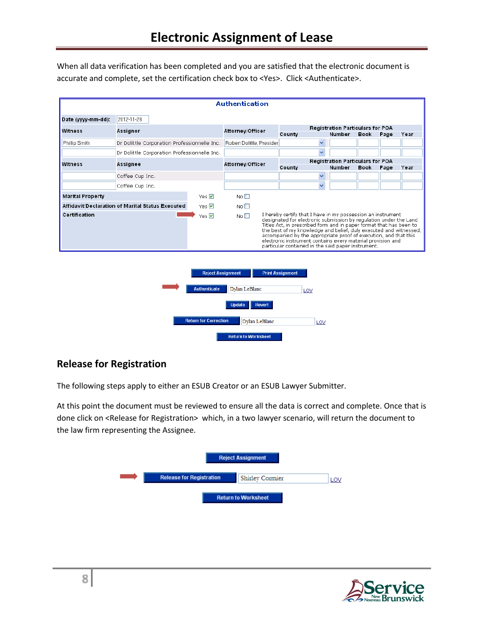When all data verification has been completed and you are satisfied that the electronic document is accurate and complete, set the certification check box to <Yes>. Click <Authenticate>.

|                         |                                                  |              | Authentication            |                                                                                                                                                                                                                                                                                                                                                                                                                                                                       |                                  |      |      |      |
|-------------------------|--------------------------------------------------|--------------|---------------------------|-----------------------------------------------------------------------------------------------------------------------------------------------------------------------------------------------------------------------------------------------------------------------------------------------------------------------------------------------------------------------------------------------------------------------------------------------------------------------|----------------------------------|------|------|------|
| Date (yyyy-mm-dd):      | 2012-11-28                                       |              |                           |                                                                                                                                                                                                                                                                                                                                                                                                                                                                       |                                  |      |      |      |
| Witness                 | Assignor                                         |              | Attorney/Officer          |                                                                                                                                                                                                                                                                                                                                                                                                                                                                       | Registration Particulars for POA |      |      |      |
|                         |                                                  |              |                           | County                                                                                                                                                                                                                                                                                                                                                                                                                                                                | Number                           | Book | Page | Year |
| Phillip Smith           | Dr Dolittle Corporation Professionnelle Inc.     |              | Robert Dolittle, Presider | $\checkmark$                                                                                                                                                                                                                                                                                                                                                                                                                                                          |                                  |      |      |      |
|                         | Dr Dolittle Corporation Professionnelle Inc.     |              |                           | $\checkmark$                                                                                                                                                                                                                                                                                                                                                                                                                                                          |                                  |      |      |      |
| Witness                 | Assignee                                         |              | Attorney/Officer          |                                                                                                                                                                                                                                                                                                                                                                                                                                                                       | Registration Particulars for POA |      |      |      |
|                         |                                                  |              |                           | County                                                                                                                                                                                                                                                                                                                                                                                                                                                                | Number                           | Book | Page | Year |
|                         | Coffee Cup Inc.                                  |              |                           | $\ddotmark$                                                                                                                                                                                                                                                                                                                                                                                                                                                           |                                  |      |      |      |
|                         | Coffee Cup Inc.                                  |              |                           | $\ddotmark$                                                                                                                                                                                                                                                                                                                                                                                                                                                           |                                  |      |      |      |
| <b>Marital Property</b> |                                                  | Yes $\nabla$ | No <sub>1</sub>           |                                                                                                                                                                                                                                                                                                                                                                                                                                                                       |                                  |      |      |      |
|                         | Affidavit/Declaration of Marital Status Executed | Yes $\nabla$ | No <sub>1</sub>           |                                                                                                                                                                                                                                                                                                                                                                                                                                                                       |                                  |      |      |      |
| Certification           |                                                  | Yes $\nabla$ | No $\square$              | I hereby certify that I have in my possession an instrument<br>designated for electronic submission by regulation under the Land<br>Titles Act, in prescribed form and in paper format that has been to<br>the best of my knowledge and belief, duly executed and witnessed,<br>accompanied by the appropriate proof of execution, and that this<br>electronic instrument contains every material provision and<br>particular contained in the said paper instrument. |                                  |      |      |      |



### **Release for Registration**

The following steps apply to either an ESUB Creator or an ESUB Lawyer Submitter.

At this point the document must be reviewed to ensure all the data is correct and complete. Once that is done click on <Release for Registration> which, in a two lawyer scenario, will return the document to the law firm representing the Assignee.

|                                 | <b>Reject Assignment</b>   |  |
|---------------------------------|----------------------------|--|
| <b>Release for Registration</b> | Shirley Cormier            |  |
|                                 | <b>Return to Worksheet</b> |  |

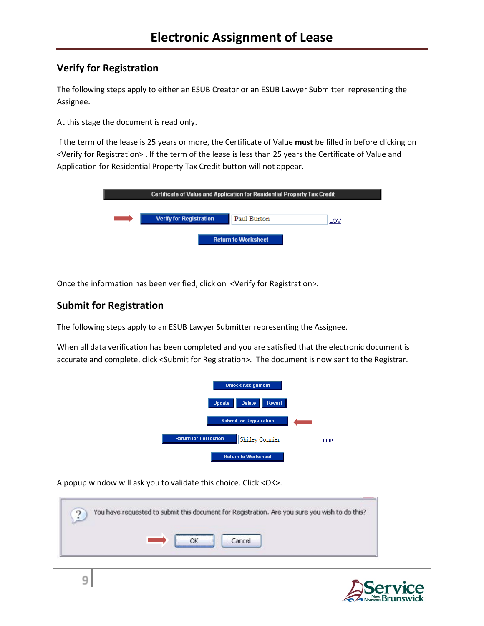### **Verify for Registration**

The following steps apply to either an ESUB Creator or an ESUB Lawyer Submitter representing the Assignee.

At this stage the document is read only.

If the term of the lease is 25 years or more, the Certificate of Value **must** be filled in before clicking on <Verify for Registration> . If the term of the lease is less than 25 years the Certificate of Value and Application for Residential Property Tax Credit button will not appear.

|                                | Certificate of Value and Application for Residential Property Tax Credit |  |
|--------------------------------|--------------------------------------------------------------------------|--|
| <b>Verify for Registration</b> | Paul Burton<br>LOV                                                       |  |
|                                | <b>Return to Worksheet</b>                                               |  |

Once the information has been verified, click on <Verify for Registration>.

### **Submit for Registration**

The following steps apply to an ESUB Lawyer Submitter representing the Assignee.

When all data verification has been completed and you are satisfied that the electronic document is accurate and complete, click <Submit for Registration>. The document is now sent to the Registrar.



A popup window will ask you to validate this choice. Click <OK>.

|  |  |       | You have requested to submit this document for Registration. Are you sure you wish to do this? |  |
|--|--|-------|------------------------------------------------------------------------------------------------|--|
|  |  |       |                                                                                                |  |
|  |  | ancel |                                                                                                |  |

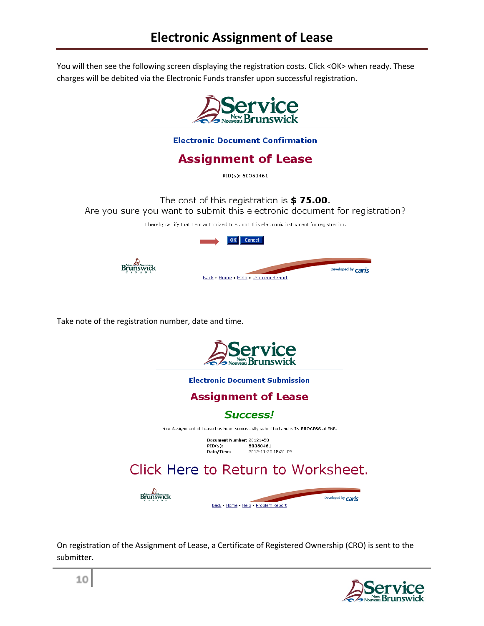You will then see the following screen displaying the registration costs. Click <OK> when ready. These charges will be debited via the Electronic Funds transfer upon successful registration.



**Electronic Document Confirmation** 

**Assignment of Lease** 

PID(s): 50350461

The cost of this registration is \$75.00. Are you sure you want to submit this electronic document for registration?

I hereby certify that I am authorized to submit this electronic instrument for registration.



Take note of the registration number, date and time.



**Electronic Document Submission** 

## **Assignment of Lease**

**Success!** 

Your Assignment of Lease has been successfully submitted and is IN PROCESS at SNB.

Document Number: 28121458 50350461  $PID(s)$ : PID(S);<br>Date/Time: 2012-11-30 15:31:09

# Click Here to Return to Worksheet.



Back . Home . Help . Problem Report

On registration of the Assignment of Lease, a Certificate of Registered Ownership (CRO) is sent to the submitter.



Developed by **Caris**